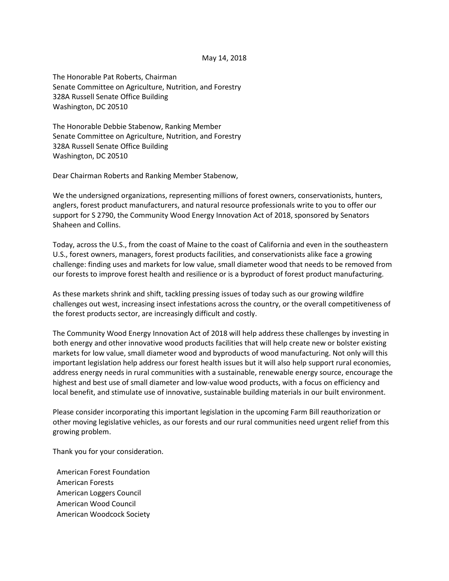## May 14, 2018

The Honorable Pat Roberts, Chairman Senate Committee on Agriculture, Nutrition, and Forestry 328A Russell Senate Office Building Washington, DC 20510

The Honorable Debbie Stabenow, Ranking Member Senate Committee on Agriculture, Nutrition, and Forestry 328A Russell Senate Office Building Washington, DC 20510

Dear Chairman Roberts and Ranking Member Stabenow,

We the undersigned organizations, representing millions of forest owners, conservationists, hunters, anglers, forest product manufacturers, and natural resource professionals write to you to offer our support for S 2790, the Community Wood Energy Innovation Act of 2018, sponsored by Senators Shaheen and Collins.

Today, across the U.S., from the coast of Maine to the coast of California and even in the southeastern U.S., forest owners, managers, forest products facilities, and conservationists alike face a growing challenge: finding uses and markets for low value, small diameter wood that needs to be removed from our forests to improve forest health and resilience or is a byproduct of forest product manufacturing.

As these markets shrink and shift, tackling pressing issues of today such as our growing wildfire challenges out west, increasing insect infestations across the country, or the overall competitiveness of the forest products sector, are increasingly difficult and costly.

The Community Wood Energy Innovation Act of 2018 will help address these challenges by investing in both energy and other innovative wood products facilities that will help create new or bolster existing markets for low value, small diameter wood and byproducts of wood manufacturing. Not only will this important legislation help address our forest health issues but it will also help support rural economies, address energy needs in rural communities with a sustainable, renewable energy source, encourage the highest and best use of small diameter and low-value wood products, with a focus on efficiency and local benefit, and stimulate use of innovative, sustainable building materials in our built environment.

Please consider incorporating this important legislation in the upcoming Farm Bill reauthorization or other moving legislative vehicles, as our forests and our rural communities need urgent relief from this growing problem.

Thank you for your consideration.

American Forest Foundation American Forests American Loggers Council American Wood Council American Woodcock Society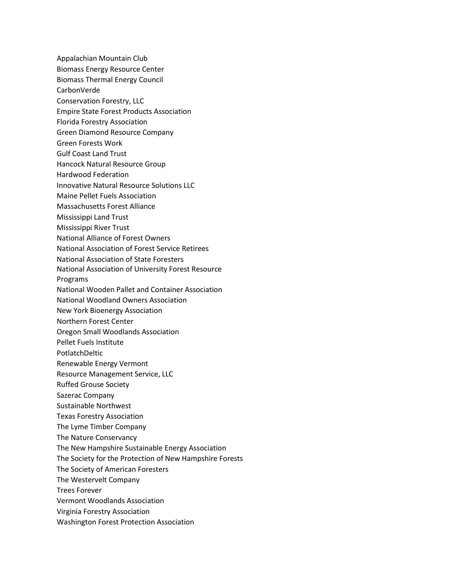Appalachian Mountain Club Biomass Energy Resource Center Biomass Thermal Energy Council CarbonVerde Conservation Forestry, LLC Empire State Forest Products Association Florida Forestry Association Green Diamond Resource Company Green Forests Work Gulf Coast Land Trust Hancock Natural Resource Group Hardwood Federation Innovative Natural Resource Solutions LLC Maine Pellet Fuels Association Massachusetts Forest Alliance Mississippi Land Trust Mississippi River Trust National Alliance of Forest Owners National Association of Forest Service Retirees National Association of State Foresters National Association of University Forest Resource Programs National Wooden Pallet and Container Association National Woodland Owners Association New York Bioenergy Association Northern Forest Center Oregon Small Woodlands Association Pellet Fuels Institute PotlatchDeltic Renewable Energy Vermont Resource Management Service, LLC Ruffed Grouse Society Sazerac Company Sustainable Northwest Texas Forestry Association The Lyme Timber Company The Nature Conservancy The New Hampshire Sustainable Energy Association The Society for the Protection of New Hampshire Forests The Society of American Foresters The Westervelt Company Trees Forever Vermont Woodlands Association Virginia Forestry Association Washington Forest Protection Association